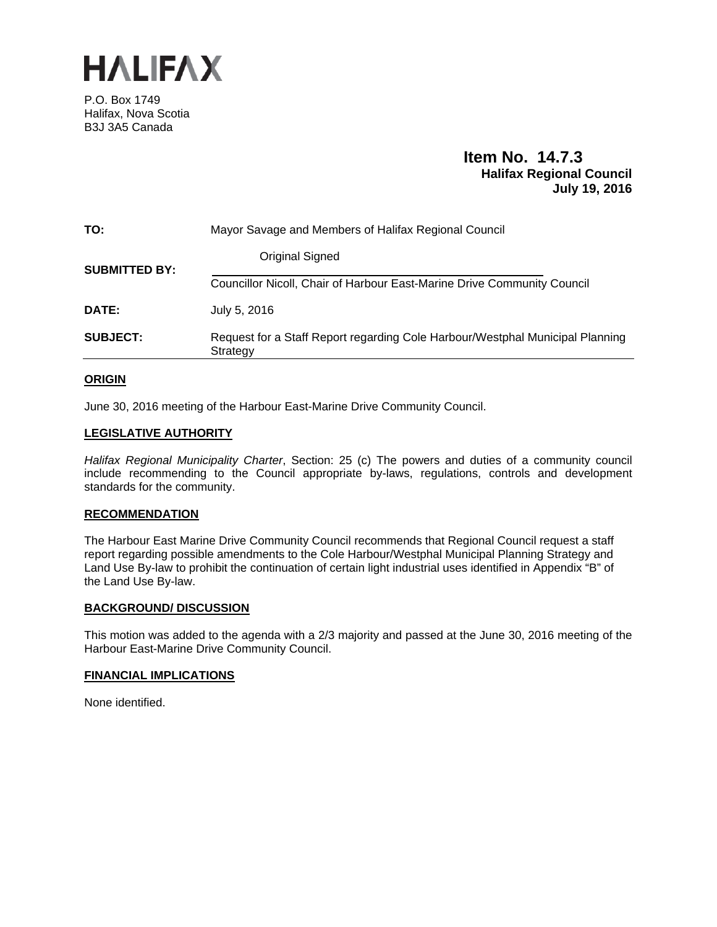

P.O. Box 1749 Halifax, Nova Scotia B3J 3A5 Canada

### **Item No. 14.7.3 Halifax Regional Council July 19, 2016**

| TO:                  | Mayor Savage and Members of Halifax Regional Council                                      |  |
|----------------------|-------------------------------------------------------------------------------------------|--|
| <b>SUBMITTED BY:</b> | <b>Original Signed</b>                                                                    |  |
|                      | Councillor Nicoll, Chair of Harbour East-Marine Drive Community Council                   |  |
| DATE:                | July 5, 2016                                                                              |  |
| <b>SUBJECT:</b>      | Request for a Staff Report regarding Cole Harbour/Westphal Municipal Planning<br>Strategy |  |

#### **ORIGIN**

June 30, 2016 meeting of the Harbour East-Marine Drive Community Council.

#### **LEGISLATIVE AUTHORITY**

*Halifax Regional Municipality Charter*, Section: 25 (c) The powers and duties of a community council include recommending to the Council appropriate by-laws, regulations, controls and development standards for the community.

#### **RECOMMENDATION**

The Harbour East Marine Drive Community Council recommends that Regional Council request a staff report regarding possible amendments to the Cole Harbour/Westphal Municipal Planning Strategy and Land Use By-law to prohibit the continuation of certain light industrial uses identified in Appendix "B" of the Land Use By-law.

#### **BACKGROUND/ DISCUSSION**

This motion was added to the agenda with a 2/3 majority and passed at the June 30, 2016 meeting of the Harbour East-Marine Drive Community Council.

#### **FINANCIAL IMPLICATIONS**

None identified.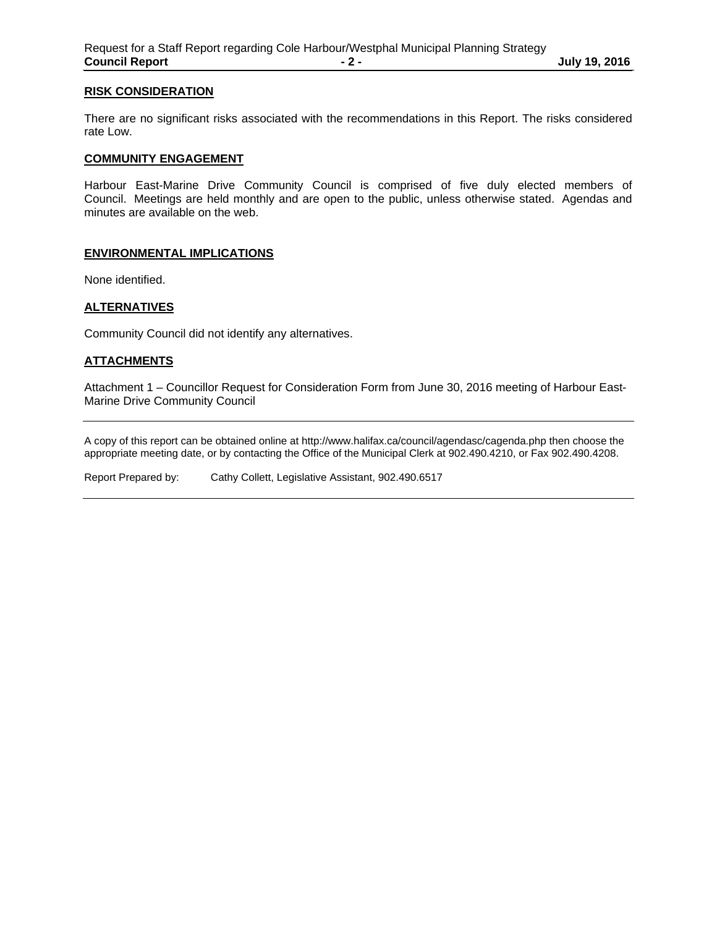#### **RISK CONSIDERATION**

There are no significant risks associated with the recommendations in this Report. The risks considered rate Low.

#### **COMMUNITY ENGAGEMENT**

Harbour East-Marine Drive Community Council is comprised of five duly elected members of Council. Meetings are held monthly and are open to the public, unless otherwise stated. Agendas and minutes are available on the web.

#### **ENVIRONMENTAL IMPLICATIONS**

None identified.

#### **ALTERNATIVES**

Community Council did not identify any alternatives.

#### **ATTACHMENTS**

Attachment 1 – Councillor Request for Consideration Form from June 30, 2016 meeting of Harbour East-Marine Drive Community Council

A copy of this report can be obtained online at http://www.halifax.ca/council/agendasc/cagenda.php then choose the appropriate meeting date, or by contacting the Office of the Municipal Clerk at 902.490.4210, or Fax 902.490.4208.

Report Prepared by: Cathy Collett, Legislative Assistant, 902.490.6517